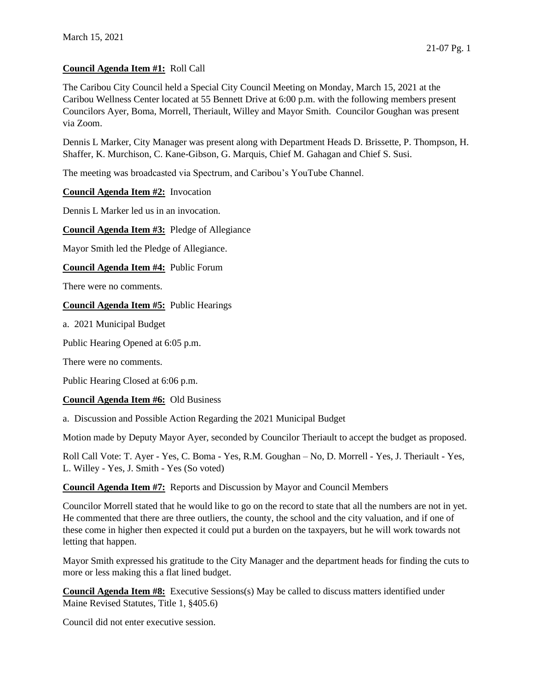### **Council Agenda Item #1:** Roll Call

The Caribou City Council held a Special City Council Meeting on Monday, March 15, 2021 at the Caribou Wellness Center located at 55 Bennett Drive at 6:00 p.m. with the following members present Councilors Ayer, Boma, Morrell, Theriault, Willey and Mayor Smith. Councilor Goughan was present via Zoom.

Dennis L Marker, City Manager was present along with Department Heads D. Brissette, P. Thompson, H. Shaffer, K. Murchison, C. Kane-Gibson, G. Marquis, Chief M. Gahagan and Chief S. Susi.

The meeting was broadcasted via Spectrum, and Caribou's YouTube Channel.

**Council Agenda Item #2:** Invocation

Dennis L Marker led us in an invocation.

**Council Agenda Item #3:** Pledge of Allegiance

Mayor Smith led the Pledge of Allegiance.

**Council Agenda Item #4:** Public Forum

There were no comments.

#### **Council Agenda Item #5:** Public Hearings

a. 2021 Municipal Budget

Public Hearing Opened at 6:05 p.m.

There were no comments.

Public Hearing Closed at 6:06 p.m.

#### **Council Agenda Item #6:** Old Business

a. Discussion and Possible Action Regarding the 2021 Municipal Budget

Motion made by Deputy Mayor Ayer, seconded by Councilor Theriault to accept the budget as proposed.

Roll Call Vote: T. Ayer - Yes, C. Boma - Yes, R.M. Goughan – No, D. Morrell - Yes, J. Theriault - Yes, L. Willey - Yes, J. Smith - Yes (So voted)

**Council Agenda Item #7:** Reports and Discussion by Mayor and Council Members

Councilor Morrell stated that he would like to go on the record to state that all the numbers are not in yet. He commented that there are three outliers, the county, the school and the city valuation, and if one of these come in higher then expected it could put a burden on the taxpayers, but he will work towards not letting that happen.

Mayor Smith expressed his gratitude to the City Manager and the department heads for finding the cuts to more or less making this a flat lined budget.

**Council Agenda Item #8:** Executive Sessions(s) May be called to discuss matters identified under Maine Revised Statutes, Title 1, §405.6)

Council did not enter executive session.